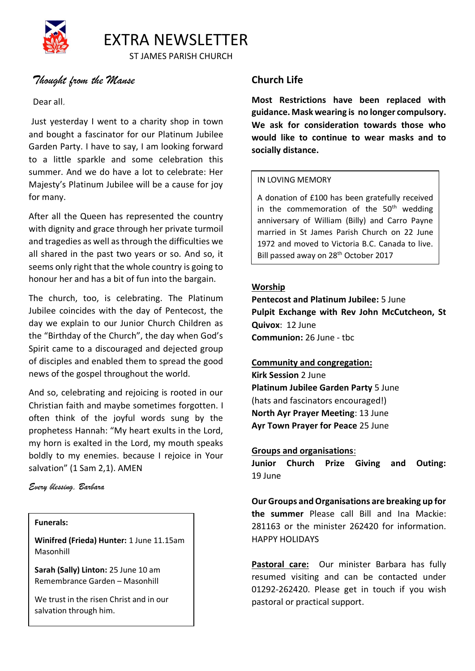

ST JAMES PARISH CHURCH

# *Thought from the Manse*

# Dear all*,*

Just yesterday I went to a charity shop in town and bought a fascinator for our Platinum Jubilee Garden Party. I have to say, I am looking forward to a little sparkle and some celebration this summer. And we do have a lot to celebrate: Her Majesty's Platinum Jubilee will be a cause for joy for many.

After all the Queen has represented the country with dignity and grace through her private turmoil and tragedies as well as through the difficulties we all shared in the past two years or so. And so, it seems only right that the whole country is going to honour her and has a bit of fun into the bargain.

The church, too, is celebrating. The Platinum Jubilee coincides with the day of Pentecost, the day we explain to our Junior Church Children as the "Birthday of the Church", the day when God's Spirit came to a discouraged and dejected group of disciples and enabled them to spread the good news of the gospel throughout the world.

And so, celebrating and rejoicing is rooted in our Christian faith and maybe sometimes forgotten. I often think of the joyful words sung by the prophetess Hannah: "My heart exults in the Lord, my horn is exalted in the Lord, my mouth speaks boldly to my enemies. because I rejoice in Your salvation" (1 Sam 2,1). AMEN

# *Every blessing, Barbara*

## **Funerals:**

**Winifred (Frieda) Hunter:** 1 June 11.15am Masonhill

**Sarah (Sally) Linton:** 25 June 10 am Remembrance Garden – Masonhill

We trust in the risen Christ and in our salvation through him.

# **Church Life**

**Most Restrictions have been replaced with guidance. Mask wearing is no longer compulsory. We ask for consideration towards those who would like to continue to wear masks and to socially distance.** 

# IN LOVING MEMORY

A donation of £100 has been gratefully received in the commemoration of the  $50<sup>th</sup>$  wedding anniversary of William (Billy) and Carro Payne married in St James Parish Church on 22 June 1972 and moved to Victoria B.C. Canada to live. Bill passed away on 28<sup>th</sup> October 2017

# **Worship**

**Pentecost and Platinum Jubilee:** 5 June **Pulpit Exchange with Rev John McCutcheon, St Quivox**: 12 June **Communion:** 26 June - tbc

# **Community and congregation:**

**Kirk Session** 2 June **Platinum Jubilee Garden Party** 5 June (hats and fascinators encouraged!) **North Ayr Prayer Meeting**: 13 June **Ayr Town Prayer for Peace** 25 June

# **Groups and organisations**:

**Junior Church Prize Giving and Outing:**  19 June

**Our Groups and Organisations are breaking up for the summer** Please call Bill and Ina Mackie: 281163 or the minister 262420 for information. HAPPY HOLIDAYS

**Pastoral care:** Our minister Barbara has fully resumed visiting and can be contacted under 01292-262420. Please get in touch if you wish pastoral or practical support.